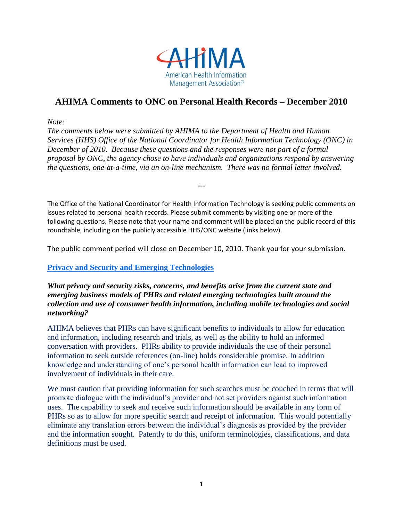

# **AHIMA Comments to ONC on Personal Health Records – December 2010**

*Note:*

*The comments below were submitted by AHIMA to the Department of Health and Human Services (HHS) Office of the National Coordinator for Health Information Technology (ONC) in December of 2010. Because these questions and the responses were not part of a formal proposal by ONC, the agency chose to have individuals and organizations respond by answering the questions, one-at-a-time, via an on-line mechanism. There was no formal letter involved.* 

The Office of the National Coordinator for Health Information Technology is seeking public comments on issues related to personal health records. Please submit comments by visiting one or more of the following questions. Please note that your name and comment will be placed on the public record of this roundtable, including on the publicly accessible HHS/ONC website (links below).

---

The public comment period will close on December 10, 2010. Thank you for your submission.

#### **Privacy and Security and Emerging Technologies**

*What privacy and security risks, concerns, and benefits arise from the current state and emerging business models of PHRs and related emerging technologies built around the collection and use of consumer health information, including mobile technologies and social networking?*

AHIMA believes that PHRs can have significant benefits to individuals to allow for education and information, including research and trials, as well as the ability to hold an informed conversation with providers. PHRs ability to provide individuals the use of their personal information to seek outside references (on-line) holds considerable promise. In addition knowledge and understanding of one's personal health information can lead to improved involvement of individuals in their care.

We must caution that providing information for such searches must be couched in terms that will promote dialogue with the individual's provider and not set providers against such information uses. The capability to seek and receive such information should be available in any form of PHRs so as to allow for more specific search and receipt of information. This would potentially eliminate any translation errors between the individual's diagnosis as provided by the provider and the information sought. Patently to do this, uniform terminologies, classifications, and data definitions must be used.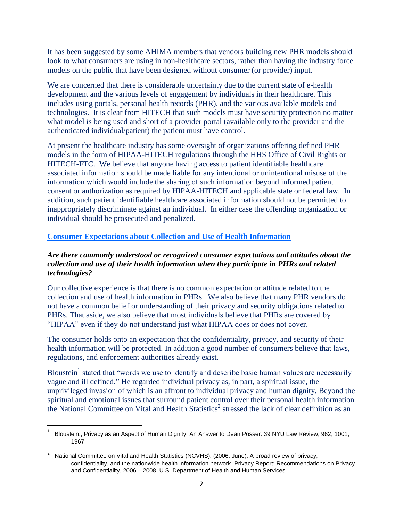It has been suggested by some AHIMA members that vendors building new PHR models should look to what consumers are using in non-healthcare sectors, rather than having the industry force models on the public that have been designed without consumer (or provider) input.

We are concerned that there is considerable uncertainty due to the current state of e-health development and the various levels of engagement by individuals in their healthcare. This includes using portals, personal health records (PHR), and the various available models and technologies. It is clear from HITECH that such models must have security protection no matter what model is being used and short of a provider portal (available only to the provider and the authenticated individual/patient) the patient must have control.

At present the healthcare industry has some oversight of organizations offering defined PHR models in the form of HIPAA-HITECH regulations through the HHS Office of Civil Rights or HITECH-FTC. We believe that anyone having access to patient identifiable healthcare associated information should be made liable for any intentional or unintentional misuse of the information which would include the sharing of such information beyond informed patient consent or authorization as required by HIPAA-HITECH and applicable state or federal law. In addition, such patient identifiable healthcare associated information should not be permitted to inappropriately discriminate against an individual. In either case the offending organization or individual should be prosecuted and penalized.

# **[Consumer Expectations about Collection and Use of Health Information](http://healthit.hhs.gov/blog/phr-roundtable/?page_id=44)**

#### *Are there commonly understood or recognized consumer expectations and attitudes about the collection and use of their health information when they participate in PHRs and related technologies?*

Our collective experience is that there is no common expectation or attitude related to the collection and use of health information in PHRs. We also believe that many PHR vendors do not have a common belief or understanding of their privacy and security obligations related to PHRs. That aside, we also believe that most individuals believe that PHRs are covered by "HIPAA" even if they do not understand just what HIPAA does or does not cover.

The consumer holds onto an expectation that the confidentiality, privacy, and security of their health information will be protected. In addition a good number of consumers believe that laws, regulations, and enforcement authorities already exist.

Bloustein<sup>1</sup> stated that "words we use to identify and describe basic human values are necessarily vague and ill defined." He regarded individual privacy as, in part, a spiritual issue, the unprivileged invasion of which is an affront to individual privacy and human dignity. Beyond the spiritual and emotional issues that surround patient control over their personal health information the National Committee on Vital and Health Statistics<sup>2</sup> stressed the lack of clear definition as an

 $\overline{\phantom{a}}$ 

<sup>1</sup> Bloustein,, Privacy as an Aspect of Human Dignity: An Answer to Dean Posser. 39 NYU Law Review, 962, 1001, 1967.

<sup>&</sup>lt;sup>2</sup> National Committee on Vital and Health Statistics (NCVHS). (2006, June), A broad review of privacy, confidentiality, and the nationwide health information network. Privacy Report: Recommendations on Privacy and Confidentiality, 2006 – 2008. U.S. Department of Health and Human Services.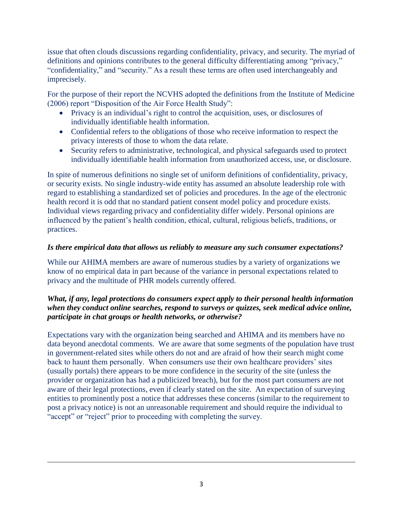issue that often clouds discussions regarding confidentiality, privacy, and security. The myriad of definitions and opinions contributes to the general difficulty differentiating among "privacy," "confidentiality," and "security." As a result these terms are often used interchangeably and imprecisely.

For the purpose of their report the NCVHS adopted the definitions from the Institute of Medicine (2006) report "Disposition of the Air Force Health Study":

- Privacy is an individual's right to control the acquisition, uses, or disclosures of individually identifiable health information.
- Confidential refers to the obligations of those who receive information to respect the privacy interests of those to whom the data relate.
- Security refers to administrative, technological, and physical safeguards used to protect individually identifiable health information from unauthorized access, use, or disclosure.

In spite of numerous definitions no single set of uniform definitions of confidentiality, privacy, or security exists. No single industry-wide entity has assumed an absolute leadership role with regard to establishing a standardized set of policies and procedures. In the age of the electronic health record it is odd that no standard patient consent model policy and procedure exists. Individual views regarding privacy and confidentiality differ widely. Personal opinions are influenced by the patient's health condition, ethical, cultural, religious beliefs, traditions, or practices.

# *Is there empirical data that allows us reliably to measure any such consumer expectations?*

While our AHIMA members are aware of numerous studies by a variety of organizations we know of no empirical data in part because of the variance in personal expectations related to privacy and the multitude of PHR models currently offered.

# *What, if any, legal protections do consumers expect apply to their personal health information when they conduct online searches, respond to surveys or quizzes, seek medical advice online, participate in chat groups or health networks, or otherwise?*

Expectations vary with the organization being searched and AHIMA and its members have no data beyond anecdotal comments. We are aware that some segments of the population have trust in government-related sites while others do not and are afraid of how their search might come back to haunt them personally. When consumers use their own healthcare providers' sites (usually portals) there appears to be more confidence in the security of the site (unless the provider or organization has had a publicized breach), but for the most part consumers are not aware of their legal protections, even if clearly stated on the site. An expectation of surveying entities to prominently post a notice that addresses these concerns (similar to the requirement to post a privacy notice) is not an unreasonable requirement and should require the individual to "accept" or "reject" prior to proceeding with completing the survey.

 $\overline{\phantom{a}}$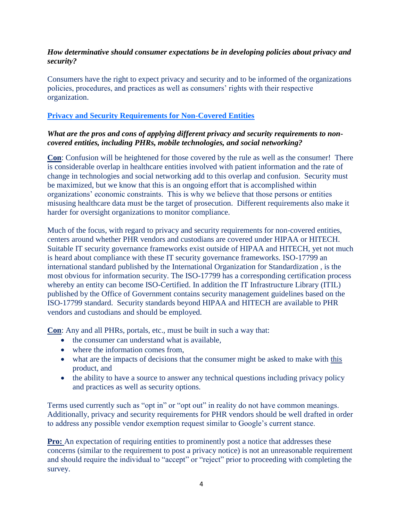## *How determinative should consumer expectations be in developing policies about privacy and security?*

Consumers have the right to expect privacy and security and to be informed of the organizations policies, procedures, and practices as well as consumers' rights with their respective organization.

# **Privacy and Security Requirements for Non-Covered Entities**

### *What are the pros and cons of applying different privacy and security requirements to noncovered entities, including PHRs, mobile technologies, and social networking?*

**Con**: Confusion will be heightened for those covered by the rule as well as the consumer! There is considerable overlap in healthcare entities involved with patient information and the rate of change in technologies and social networking add to this overlap and confusion. Security must be maximized, but we know that this is an ongoing effort that is accomplished within organizations' economic constraints. This is why we believe that those persons or entities misusing healthcare data must be the target of prosecution. Different requirements also make it harder for oversight organizations to monitor compliance.

Much of the focus, with regard to privacy and security requirements for non-covered entities, centers around whether PHR vendors and custodians are covered under HIPAA or HITECH. Suitable IT security governance frameworks exist outside of HIPAA and HITECH, yet not much is heard about compliance with these IT security governance frameworks. ISO-17799 an international standard published by the International Organization for Standardization , is the most obvious for information security. The ISO-17799 has a corresponding certification process whereby an entity can become ISO-Certified. In addition the IT Infrastructure Library (ITIL) published by the Office of Government contains security management guidelines based on the ISO-17799 standard. Security standards beyond HIPAA and HITECH are available to PHR vendors and custodians and should be employed.

**Con**: Any and all PHRs, portals, etc., must be built in such a way that:

- the consumer can understand what is available,
- where the information comes from.
- what are the impacts of decisions that the consumer might be asked to make with this product, and
- the ability to have a source to answer any technical questions including privacy policy and practices as well as security options.

Terms used currently such as "opt in" or "opt out" in reality do not have common meanings. Additionally, privacy and security requirements for PHR vendors should be well drafted in order to address any possible vendor exemption request similar to Google's current stance.

**Pro:** An expectation of requiring entities to prominently post a notice that addresses these concerns (similar to the requirement to post a privacy notice) is not an unreasonable requirement and should require the individual to "accept" or "reject" prior to proceeding with completing the survey.